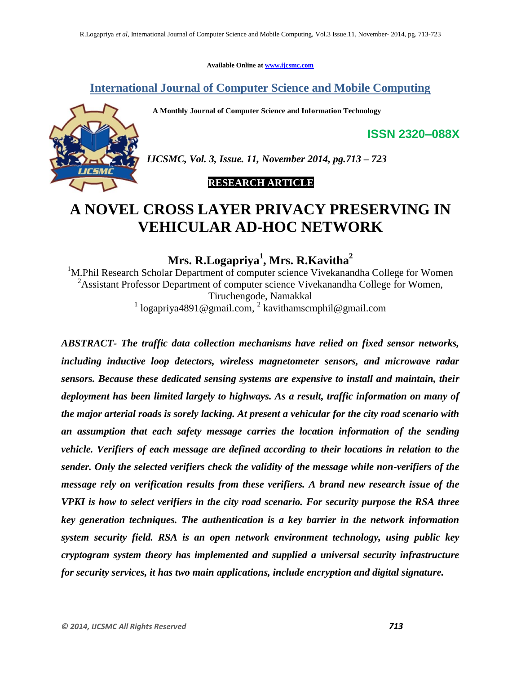**Available Online at www.ijcsmc.com**

**International Journal of Computer Science and Mobile Computing**

 **A Monthly Journal of Computer Science and Information Technology**



*IJCSMC, Vol. 3, Issue. 11, November 2014, pg.713 – 723*

# **RESEARCH ARTICLE**

# **A NOVEL CROSS LAYER PRIVACY PRESERVING IN VEHICULAR AD-HOC NETWORK**

**Mrs. R.Logapriya<sup>1</sup> , Mrs. R.Kavitha<sup>2</sup>**

<sup>1</sup>M.Phil Research Scholar Department of computer science Vivekanandha College for Women <sup>2</sup>Assistant Professor Department of computer science Vivekanandha College for Women, Tiruchengode, Namakkal

<sup>1</sup> logapriya4891@gmail.com, <sup>2</sup> kavithamscmphil@gmail.com

*ABSTRACT- The traffic data collection mechanisms have relied on fixed sensor networks, including inductive loop detectors, wireless magnetometer sensors, and microwave radar sensors. Because these dedicated sensing systems are expensive to install and maintain, their deployment has been limited largely to highways. As a result, traffic information on many of the major arterial roads is sorely lacking. At present a vehicular for the city road scenario with an assumption that each safety message carries the location information of the sending vehicle. Verifiers of each message are defined according to their locations in relation to the sender. Only the selected verifiers check the validity of the message while non-verifiers of the message rely on verification results from these verifiers. A brand new research issue of the VPKI is how to select verifiers in the city road scenario. For security purpose the RSA three key generation techniques. The authentication is a key barrier in the network information system security field. RSA is an open network environment technology, using public key cryptogram system theory has implemented and supplied a universal security infrastructure for security services, it has two main applications, include encryption and digital signature.*

**ISSN 2320–088X**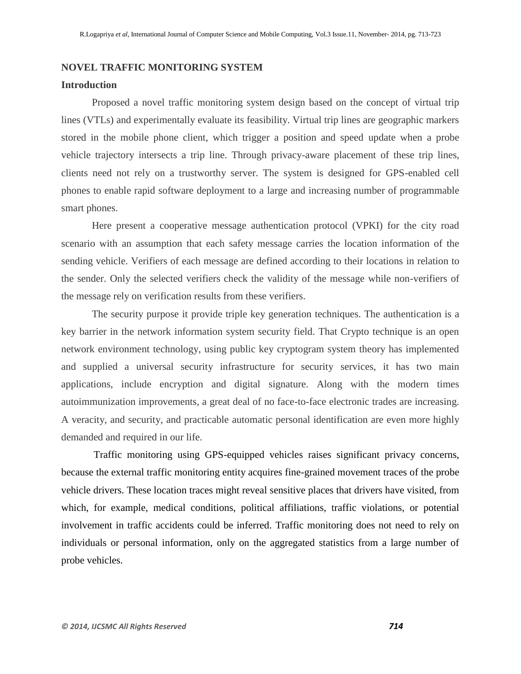### **NOVEL TRAFFIC MONITORING SYSTEM**

### **Introduction**

Proposed a novel traffic monitoring system design based on the concept of virtual trip lines (VTLs) and experimentally evaluate its feasibility. Virtual trip lines are geographic markers stored in the mobile phone client, which trigger a position and speed update when a probe vehicle trajectory intersects a trip line. Through privacy-aware placement of these trip lines, clients need not rely on a trustworthy server. The system is designed for GPS-enabled cell phones to enable rapid software deployment to a large and increasing number of programmable smart phones.

Here present a cooperative message authentication protocol (VPKI) for the city road scenario with an assumption that each safety message carries the location information of the sending vehicle. Verifiers of each message are defined according to their locations in relation to the sender. Only the selected verifiers check the validity of the message while non-verifiers of the message rely on verification results from these verifiers.

The security purpose it provide triple key generation techniques. The authentication is a key barrier in the network information system security field. That Crypto technique is an open network environment technology, using public key cryptogram system theory has implemented and supplied a universal security infrastructure for security services, it has two main applications, include encryption and digital signature. Along with the modern times autoimmunization improvements, a great deal of no face-to-face electronic trades are increasing. A veracity, and security, and practicable automatic personal identification are even more highly demanded and required in our life.

Traffic monitoring using GPS-equipped vehicles raises significant privacy concerns, because the external traffic monitoring entity acquires fine-grained movement traces of the probe vehicle drivers. These location traces might reveal sensitive places that drivers have visited, from which, for example, medical conditions, political affiliations, traffic violations, or potential involvement in traffic accidents could be inferred. Traffic monitoring does not need to rely on individuals or personal information, only on the aggregated statistics from a large number of probe vehicles.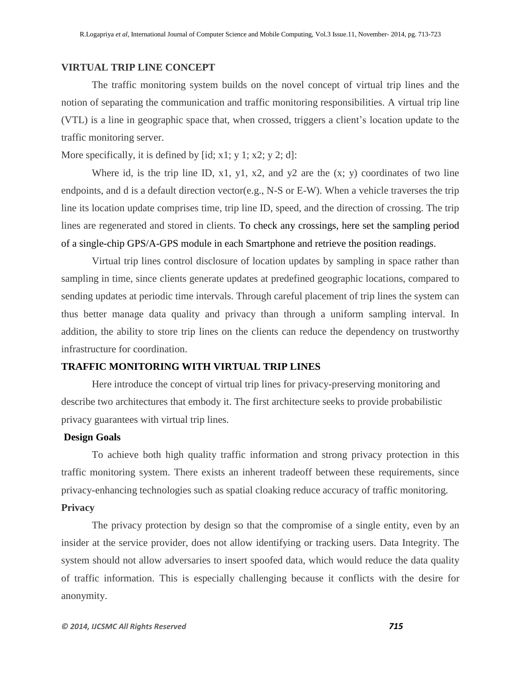### **VIRTUAL TRIP LINE CONCEPT**

The traffic monitoring system builds on the novel concept of virtual trip lines and the notion of separating the communication and traffic monitoring responsibilities. A virtual trip line (VTL) is a line in geographic space that, when crossed, triggers a client's location update to the traffic monitoring server.

More specifically, it is defined by  $[id; x1; y1; x2; y2; d]$ :

Where id, is the trip line ID,  $x1$ ,  $y1$ ,  $x2$ , and  $y2$  are the  $(x; y)$  coordinates of two line endpoints, and d is a default direction vector(e.g., N-S or E-W). When a vehicle traverses the trip line its location update comprises time, trip line ID, speed, and the direction of crossing. The trip lines are regenerated and stored in clients. To check any crossings, here set the sampling period of a single-chip GPS/A-GPS module in each Smartphone and retrieve the position readings.

Virtual trip lines control disclosure of location updates by sampling in space rather than sampling in time, since clients generate updates at predefined geographic locations, compared to sending updates at periodic time intervals. Through careful placement of trip lines the system can thus better manage data quality and privacy than through a uniform sampling interval. In addition, the ability to store trip lines on the clients can reduce the dependency on trustworthy infrastructure for coordination.

# **TRAFFIC MONITORING WITH VIRTUAL TRIP LINES**

Here introduce the concept of virtual trip lines for privacy-preserving monitoring and describe two architectures that embody it. The first architecture seeks to provide probabilistic privacy guarantees with virtual trip lines.

### **Design Goals**

To achieve both high quality traffic information and strong privacy protection in this traffic monitoring system. There exists an inherent tradeoff between these requirements, since privacy-enhancing technologies such as spatial cloaking reduce accuracy of traffic monitoring.

# **Privacy**

The privacy protection by design so that the compromise of a single entity, even by an insider at the service provider, does not allow identifying or tracking users. Data Integrity. The system should not allow adversaries to insert spoofed data, which would reduce the data quality of traffic information. This is especially challenging because it conflicts with the desire for anonymity.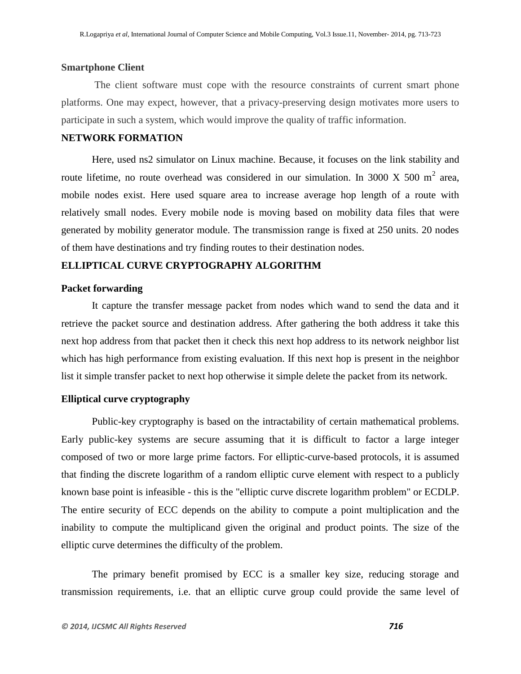### **Smartphone Client**

The client software must cope with the resource constraints of current smart phone platforms. One may expect, however, that a privacy-preserving design motivates more users to participate in such a system, which would improve the quality of traffic information.

### **NETWORK FORMATION**

Here, used ns2 simulator on Linux machine. Because, it focuses on the link stability and route lifetime, no route overhead was considered in our simulation. In 3000 X 500 m<sup>2</sup> area, mobile nodes exist. Here used square area to increase average hop length of a route with relatively small nodes. Every mobile node is moving based on mobility data files that were generated by mobility generator module. The transmission range is fixed at 250 units. 20 nodes of them have destinations and try finding routes to their destination nodes.

### **ELLIPTICAL CURVE CRYPTOGRAPHY ALGORITHM**

#### **Packet forwarding**

It capture the transfer message packet from nodes which wand to send the data and it retrieve the packet source and destination address. After gathering the both address it take this next hop address from that packet then it check this next hop address to its network neighbor list which has high performance from existing evaluation. If this next hop is present in the neighbor list it simple transfer packet to next hop otherwise it simple delete the packet from its network.

### **Elliptical curve cryptography**

Public-key cryptography is based on the intractability of certain mathematical problems. Early public-key systems are secure assuming that it is difficult to factor a large integer composed of two or more large prime factors. For elliptic-curve-based protocols, it is assumed that finding the discrete logarithm of a random elliptic curve element with respect to a publicly known base point is infeasible - this is the "elliptic curve discrete logarithm problem" or ECDLP. The entire security of ECC depends on the ability to compute a point multiplication and the inability to compute the multiplicand given the original and product points. The size of the elliptic curve determines the difficulty of the problem.

The primary benefit promised by ECC is a smaller key size, reducing storage and transmission requirements, i.e. that an elliptic curve group could provide the same level of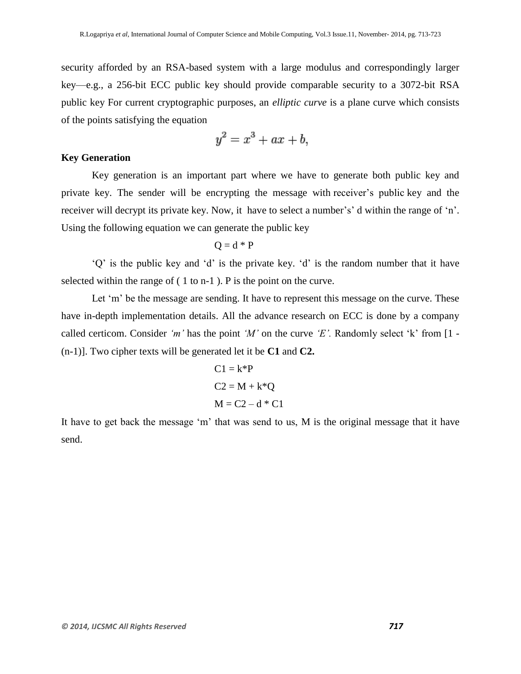security afforded by an RSA-based system with a large modulus and correspondingly larger key—e.g., a 256-bit ECC public key should provide comparable security to a 3072-bit RSA public key For current cryptographic purposes, an *elliptic curve* is a plane curve which consists of the points satisfying the equation

$$
y^2 = x^3 + ax + b,
$$

### **Key Generation**

Key generation is an important part where we have to generate both public key and private key. The sender will be encrypting the message with receiver's public key and the receiver will decrypt its private key. Now, it have to select a number's' d within the range of 'n'. Using the following equation we can generate the public key

$$
Q = d * P
$$

'Q' is the public key and 'd' is the private key. 'd' is the random number that it have selected within the range of ( 1 to n-1 ). P is the point on the curve.

Let 'm' be the message are sending. It have to represent this message on the curve. These have in-depth implementation details. All the advance research on ECC is done by a company called certicom. Consider *'m'* has the point *'M'* on the curve *'E'.* Randomly select 'k' from [1 - (n-1)]. Two cipher texts will be generated let it be **C1** and **C2.**

$$
C1 = k^*P
$$

$$
C2 = M + k^*Q
$$

$$
M = C2 - d^*C1
$$

It have to get back the message 'm' that was send to us, M is the original message that it have send.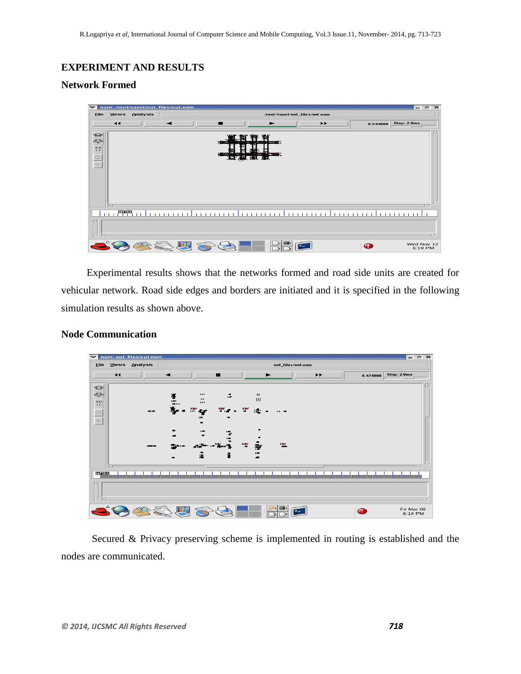# **EXPERIMENT AND RESULTS**

# **Network Formed**

| $\checkmark$                                                                                                                                                                                                                                                                                                                                                                                                                                 |                        |          | nam: /root/vanet/out_files/out.nam |            |                                             |                                          |                  | $=$ $=$ $ $<br>36       |
|----------------------------------------------------------------------------------------------------------------------------------------------------------------------------------------------------------------------------------------------------------------------------------------------------------------------------------------------------------------------------------------------------------------------------------------------|------------------------|----------|------------------------------------|------------|---------------------------------------------|------------------------------------------|------------------|-------------------------|
| <b>File</b>                                                                                                                                                                                                                                                                                                                                                                                                                                  | Views                  | Analysis | /root/vanet/out files/out.nam      |            |                                             |                                          |                  |                         |
|                                                                                                                                                                                                                                                                                                                                                                                                                                              | $\blacktriangleleft$   |          |                                    |            |                                             | $\blacktriangleright\blacktriangleright$ | 0.544000         | Step: $2.0ms$           |
| $\bigoplus$<br>☜<br>$\begin{array}{ c c c }\hline \rule{0pt}{16pt} \text{0.5cm}\\ \hline \rule{0pt}{16pt} \text{0.5cm}\\ \hline \rule{0pt}{16pt} \text{0.5cm}\\ \hline \rule{0pt}{16pt} \text{0.5cm}\\ \hline \rule{0pt}{16pt} \text{0.5cm}\\ \hline \rule{0pt}{16pt} \text{0.5cm}\\ \hline \rule{0pt}{16pt} \text{0.5cm}\\ \hline \rule{0pt}{16pt} \text{0.5cm}\\ \hline \rule{0pt}{16pt} \text{0.5cm}\\ \hline \rule{0pt}{16pt} \text{0.5$ | 冈                      |          |                                    | 202122     | 讇<br><b>Baratt</b> :                        |                                          |                  | T D                     |
|                                                                                                                                                                                                                                                                                                                                                                                                                                              | $\frac{\text{max}}{1}$ |          |                                    | . <b>.</b> | $1 - 1 - 1$<br><b>TELEST</b><br>$1 + 1 + 1$ | <b>TELEVISION</b>                        | <b>TELESCOPE</b> |                         |
| Ħ                                                                                                                                                                                                                                                                                                                                                                                                                                            | ⊠                      |          |                                    |            |                                             |                                          |                  | 五平                      |
|                                                                                                                                                                                                                                                                                                                                                                                                                                              |                        |          |                                    |            |                                             |                                          | Œ                | Wed Nov 12<br>$6:18$ PM |

Experimental results shows that the networks formed and road side units are created for vehicular network. Road side edges and borders are initiated and it is specified in the following simulation results as shown above.

## **Node Communication**



Secured & Privacy preserving scheme is implemented in routing is established and the nodes are communicated.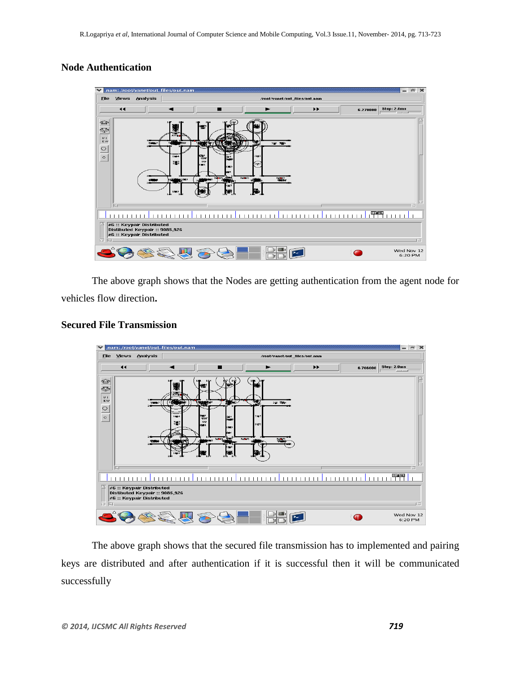# **Node Authentication**



The above graph shows that the Nodes are getting authentication from the agent node for vehicles flow direction**.**

### **Secured File Transmission**



The above graph shows that the secured file transmission has to implemented and pairing keys are distributed and after authentication if it is successful then it will be communicated successfully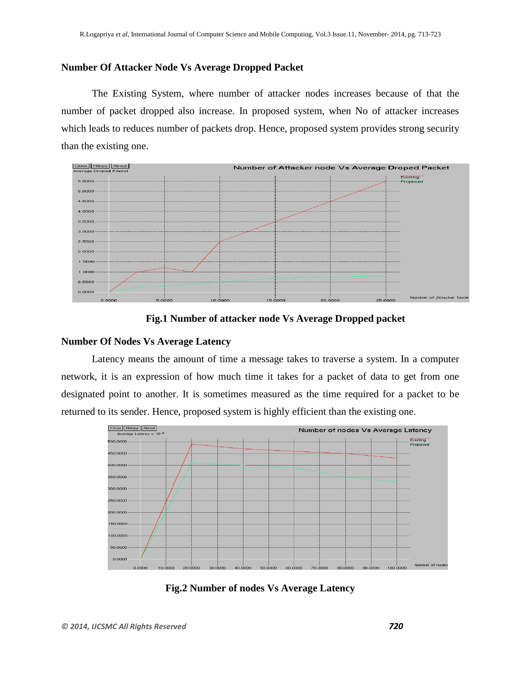### **Number Of Attacker Node Vs Average Dropped Packet**

The Existing System, where number of attacker nodes increases because of that the number of packet dropped also increase. In proposed system, when No of attacker increases which leads to reduces number of packets drop. Hence, proposed system provides strong security than the existing one.



**Fig.1 Number of attacker node Vs Average Dropped packet**

### **Number Of Nodes Vs Average Latency**

Latency means the amount of time a message takes to traverse a system. In a computer network, it is an expression of how much time it takes for a packet of data to get from one designated point to another. It is sometimes measured as the time required for a packet to be returned to its sender. Hence, proposed system is highly efficient than the existing one.



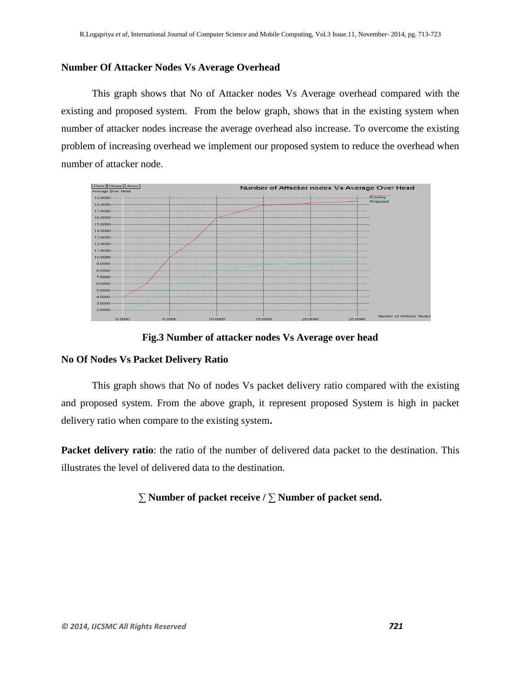### **Number Of Attacker Nodes Vs Average Overhead**

This graph shows that No of Attacker nodes Vs Average overhead compared with the existing and proposed system. From the below graph, shows that in the existing system when number of attacker nodes increase the average overhead also increase. To overcome the existing problem of increasing overhead we implement our proposed system to reduce the overhead when number of attacker node.



**Fig.3 Number of attacker nodes Vs Average over head**

### **No Of Nodes Vs Packet Delivery Ratio**

This graph shows that No of nodes Vs packet delivery ratio compared with the existing and proposed system. From the above graph, it represent proposed System is high in packet delivery ratio when compare to the existing system**.**

**Packet delivery ratio**: the ratio of the number of delivered data packet to the destination. This illustrates the level of delivered data to the destination.

# ∑ **Number of packet receive /** ∑ **Number of packet send.**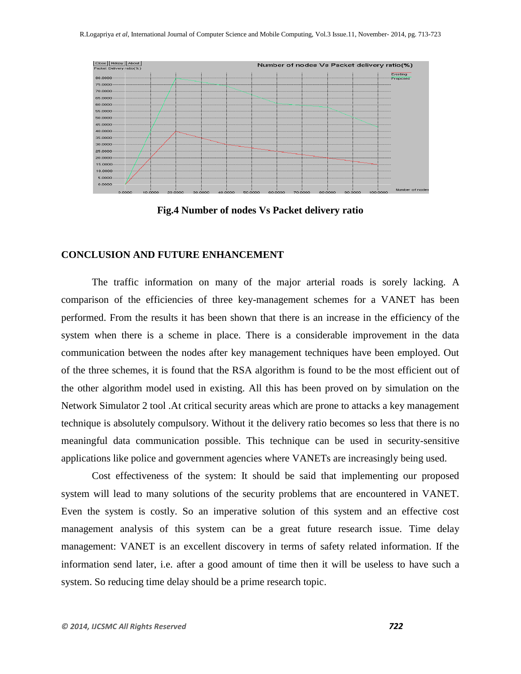

**Fig.4 Number of nodes Vs Packet delivery ratio**

### **CONCLUSION AND FUTURE ENHANCEMENT**

The traffic information on many of the major arterial roads is sorely lacking. A comparison of the efficiencies of three key-management schemes for a VANET has been performed. From the results it has been shown that there is an increase in the efficiency of the system when there is a scheme in place. There is a considerable improvement in the data communication between the nodes after key management techniques have been employed. Out of the three schemes, it is found that the RSA algorithm is found to be the most efficient out of the other algorithm model used in existing. All this has been proved on by simulation on the Network Simulator 2 tool .At critical security areas which are prone to attacks a key management technique is absolutely compulsory. Without it the delivery ratio becomes so less that there is no meaningful data communication possible. This technique can be used in security-sensitive applications like police and government agencies where VANETs are increasingly being used.

Cost effectiveness of the system: It should be said that implementing our proposed system will lead to many solutions of the security problems that are encountered in VANET. Even the system is costly. So an imperative solution of this system and an effective cost management analysis of this system can be a great future research issue. Time delay management: VANET is an excellent discovery in terms of safety related information. If the information send later, i.e. after a good amount of time then it will be useless to have such a system. So reducing time delay should be a prime research topic.